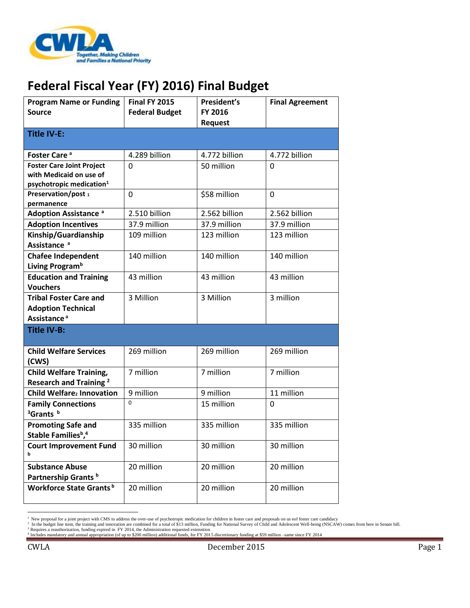

## **Federal Fiscal Year (FY) 2016) Final Budget**

| <b>Program Name or Funding</b><br><b>Source</b>                                                     | <b>Final FY 2015</b><br><b>Federal Budget</b> | President's<br>FY 2016<br><b>Request</b> | <b>Final Agreement</b> |
|-----------------------------------------------------------------------------------------------------|-----------------------------------------------|------------------------------------------|------------------------|
| <b>Title IV-E:</b>                                                                                  |                                               |                                          |                        |
| Foster Care <sup>a</sup>                                                                            | 4.289 billion                                 | 4.772 billion                            | 4.772 billion          |
| <b>Foster Care Joint Project</b><br>with Medicaid on use of<br>psychotropic medication <sup>1</sup> | 0                                             | 50 million                               | $\Omega$               |
| Preservation/post 1<br>permanence                                                                   | 0                                             | \$58 million                             | 0                      |
| <b>Adoption Assistance a</b>                                                                        | 2.510 billion                                 | 2.562 billion                            | 2.562 billion          |
| <b>Adoption Incentives</b>                                                                          | 37.9 million                                  | 37.9 million                             | 37.9 million           |
| Kinship/Guardianship<br>Assistance <sup>a</sup>                                                     | 109 million                                   | 123 million                              | 123 million            |
| <b>Chafee Independent</b><br>Living Program <sup>b</sup>                                            | 140 million                                   | 140 million                              | 140 million            |
| <b>Education and Training</b><br><b>Vouchers</b>                                                    | 43 million                                    | 43 million                               | 43 million             |
| <b>Tribal Foster Care and</b><br><b>Adoption Technical</b><br>Assistance <sup>a</sup>               | 3 Million                                     | 3 Million                                | 3 million              |
| <b>Title IV-B:</b>                                                                                  |                                               |                                          |                        |
| <b>Child Welfare Services</b><br>(CWS)                                                              | 269 million                                   | 269 million                              | 269 million            |
| <b>Child Welfare Training,</b><br>Research and Training <sup>2</sup>                                | 7 million                                     | 7 million                                | 7 million              |
| Child Welfare2 Innovation                                                                           | 9 million                                     | 9 million                                | 11 million             |
| <b>Family Connections</b><br><sup>3</sup> Grants <sup>b</sup>                                       | O                                             | 15 million                               | 0                      |
| <b>Promoting Safe and</b><br>Stable Families <sup>b</sup> . <sup>4</sup>                            | 335 million                                   | 335 million                              | 335 million            |
| <b>Court Improvement Fund</b>                                                                       | 30 million                                    | 30 million                               | 30 million             |
| <b>Substance Abuse</b><br>Partnership Grants <sup>b</sup>                                           | 20 million                                    | 20 million                               | 20 million             |
| Workforce State Grants <sup>b</sup>                                                                 | 20 million                                    | 20 million                               | 20 million             |

<sup>&</sup>lt;sup>1</sup> New proposal for a joint project with CMS to address the over-use of psychotropic medication for children in foster care and proposals on us eof foster care candidacy<br><sup>2</sup> In the budget line item, the training and innov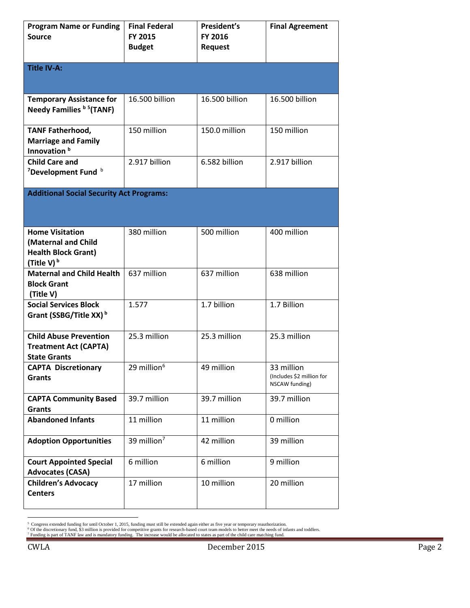| <b>Program Name or Funding</b><br><b>Source</b>                                              | <b>Final Federal</b><br>FY 2015<br><b>Budget</b> | President's<br><b>FY 2016</b><br><b>Request</b> | <b>Final Agreement</b>                                    |  |  |
|----------------------------------------------------------------------------------------------|--------------------------------------------------|-------------------------------------------------|-----------------------------------------------------------|--|--|
| Title IV-A:                                                                                  |                                                  |                                                 |                                                           |  |  |
| <b>Temporary Assistance for</b><br>Needy Families b 5(TANF)                                  | 16.500 billion                                   | 16.500 billion                                  | 16.500 billion                                            |  |  |
| <b>TANF Fatherhood,</b><br><b>Marriage and Family</b><br>Innovation <sup>b</sup>             | 150 million                                      | 150.0 million                                   | 150 million                                               |  |  |
| <b>Child Care and</b><br><sup>7</sup> Development Fund b                                     | 2.917 billion                                    | 6.582 billion                                   | 2.917 billion                                             |  |  |
| <b>Additional Social Security Act Programs:</b>                                              |                                                  |                                                 |                                                           |  |  |
| <b>Home Visitation</b><br>(Maternal and Child<br><b>Health Block Grant)</b><br>(Title V) $b$ | 380 million                                      | 500 million                                     | 400 million                                               |  |  |
| <b>Maternal and Child Health</b><br><b>Block Grant</b><br>(Title V)                          | 637 million                                      | 637 million                                     | 638 million                                               |  |  |
| <b>Social Services Block</b><br>Grant (SSBG/Title XX) <sup>b</sup>                           | 1.577                                            | 1.7 billion                                     | 1.7 Billion                                               |  |  |
| <b>Child Abuse Prevention</b><br><b>Treatment Act (CAPTA)</b><br><b>State Grants</b>         | 25.3 million                                     | 25.3 million                                    | 25.3 million                                              |  |  |
| <b>CAPTA Discretionary</b><br>Grants                                                         | 29 million <sup>6</sup>                          | 49 million                                      | 33 million<br>(Includes \$2 million for<br>NSCAW funding) |  |  |
| <b>CAPTA Community Based</b><br><b>Grants</b>                                                | 39.7 million                                     | 39.7 million                                    | 39.7 million                                              |  |  |
| <b>Abandoned Infants</b>                                                                     | 11 million                                       | 11 million                                      | 0 million                                                 |  |  |
| <b>Adoption Opportunities</b>                                                                | 39 million <sup>7</sup>                          | 42 million                                      | 39 million                                                |  |  |
| <b>Court Appointed Special</b><br><b>Advocates (CASA)</b>                                    | 6 million                                        | 6 million                                       | 9 million                                                 |  |  |
| <b>Children's Advocacy</b><br><b>Centers</b>                                                 | 17 million                                       | 10 million                                      | 20 million                                                |  |  |

<sup>&</sup>lt;sup>5</sup> Congress extended funding for until October 1, 2015, funding must still be extended again either as five year or temporary reauthorization.<br><sup>6</sup> Of the discretionary fund, \$3 million is provided for competitive grants f